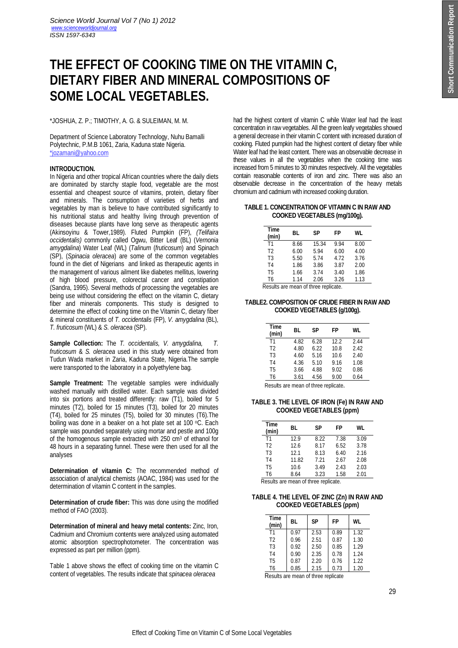# **THE EFFECT OF COOKING TIME ON THE VITAMIN C, DIETARY FIBER AND MINERAL COMPOSITIONS OF SOME LOCAL VEGETABLES.**

# \*JOSHUA, Z. P.; TIMOTHY, A. G. & SULEIMAN, M. M.

Department of Science Laboratory Technology, Nuhu Bamalli Polytechnic, P.M.B 1061, Zaria, Kaduna state Nigeria. \*jozamani@yahoo.com

# **INTRODUCTION.**

In Nigeria and other tropical African countries where the daily diets are dominated by starchy staple food, vegetable are the most essential and cheapest source of vitamins, protein, dietary fiber and minerals. The consumption of varieties of herbs and vegetables by man is believe to have contributed significantly to his nutritional status and healthy living through prevention of diseases because plants have long serve as therapeutic agents (Akinsoyinu & Tower,1989). Fluted Pumpkin (FP), *(Telifaira occidentalis)* commonly called Ogwu, Bitter Leaf (BL) (*Vernonia amygdalina*) Water Leaf (WL) (*Talinum* (*fruticosum*) and Spinach (SP), (*Spinacia oleracea*) are some of the common vegetables found in the diet of Nigerians and linked as therapeutic agents in the management of various ailment like diabetes mellitus, lowering of high blood pressure, colorectal cancer and constipation (Sandra, 1995). Several methods of processing the vegetables are being use without considering the effect on the vitamin C, dietary fiber and minerals components. This study is designed to determine the effect of cooking time on the Vitamin C, dietary fiber & mineral constituents of *T. occidentalis* (FP), *V. amygdalina* (BL), *T. fruticosum* (WL) & *S. oleracea* (SP).

**Sample Collection:** The *T. occidentalis, V. amygdalina, T. fruticosum* & *S. oleracea* used in this study were obtained from Tudun Wada market in Zaria, Kaduna State, Nigeria.The sample were transported to the laboratory in a polyethylene bag.

**Sample Treatment:** The vegetable samples were individually washed manually with distilled water. Each sample was divided into six portions and treated differently: raw (T1), boiled for 5 minutes (T2), boiled for 15 minutes (T3), boiled for 20 minutes (T4), boiled for 25 minutes (T5), boiled for 30 minutes (T6).The boiling was done in a beaker on a hot plate set at 100 °C. Each sample was pounded separately using mortar and pestle and 100g of the homogenous sample extracted with 250 cm<sup>3</sup> of ethanol for 48 hours in a separating funnel. These were then used for all the analyses

**Determination of vitamin C:** The recommended method of association of analytical chemists (AOAC, 1984) was used for the determination of vitamin C content in the samples.

**Determination of crude fiber:** This was done using the modified method of FAO (2003).

**Determination of mineral and heavy metal contents:** Zinc, Iron, Cadmium and Chromium contents were analyzed using automated atomic absorption spectrophotometer. The concentration was expressed as part per million (ppm).

Table 1 above shows the effect of cooking time on the vitamin C content of vegetables. The results indicate that *spinacea oleracea*

had the highest content of vitamin C while Water leaf had the least concentration in raw vegetables. All the green leafy vegetables showed a general decrease in their vitamin C content with increased duration of cooking. Fluted pumpkin had the highest content of dietary fiber while Water leaf had the least content. There was an observable decrease in these values in all the vegetables when the cooking time was increased from 5 minutes to 30 minutes respectively. All the vegetables contain reasonable contents of iron and zinc. There was also an observable decrease in the concentration of the heavy metals chromium and cadmium with increased cooking duration.

#### **TABLE 1. CONCENTRATION OF VITAMIN C IN RAW AND COOKED VEGETABLES (mg/100g).**

| <b>Time</b><br>(min)                 | BL   | SΡ    | FP   | WL   |  |
|--------------------------------------|------|-------|------|------|--|
| T <sub>1</sub>                       | 8.66 | 15.34 | 9.94 | 8.00 |  |
| T <sub>2</sub>                       | 6.00 | 5.94  | 6.00 | 4.00 |  |
| T <sub>3</sub>                       | 5.50 | 5.74  | 4.72 | 3.76 |  |
| T <sub>4</sub>                       | 1.86 | 3.86  | 3.87 | 2.00 |  |
| T <sub>5</sub>                       | 1.66 | 3.74  | 3.40 | 1.86 |  |
| T <sub>6</sub>                       | 1.14 | 2.06  | 3.26 | 1.13 |  |
| Results are mean of three replicate. |      |       |      |      |  |
|                                      |      |       |      |      |  |

**TABLE2. COMPOSITION OF CRUDE FIBER IN RAW AND COOKED VEGETABLES (g/100g).**

| Time<br>(min)  | BL   | SP   | FP   | WL   |
|----------------|------|------|------|------|
| T1             | 4.82 | 6.28 | 12.2 | 2.44 |
| T <sub>2</sub> | 4.80 | 6.22 | 10.8 | 2.42 |
| T <sub>3</sub> | 4.60 | 5.16 | 10.6 | 2.40 |
| T <sub>4</sub> | 4.36 | 5.10 | 9.16 | 1.08 |
| T5             | 3.66 | 4.88 | 9.02 | 0.86 |
| T6             | 3.61 | 4.56 | 9.00 | 0.64 |

Results are mean of three replicate.

# **TABLE 3. THE LEVEL OF IRON (Fe) IN RAW AND COOKED VEGETABLES (ppm)**

| Time<br>(min)  | BL    | SP   | FP   | WL   |
|----------------|-------|------|------|------|
| T1             | 12.9  | 8.22 | 7.38 | 3.09 |
| T <sub>2</sub> | 12.6  | 8.17 | 6.52 | 3.78 |
| T <sub>3</sub> | 12.1  | 8.13 | 6.40 | 2.16 |
| T <sub>4</sub> | 11.82 | 7.21 | 2.67 | 2.08 |
| T <sub>5</sub> | 10.6  | 3.49 | 2.43 | 2.03 |
| T6             | 8.64  | 3.23 | 1.58 | 2.01 |

Results are mean of three replicate.

# **TABLE 4. THE LEVEL OF ZINC (Zn) IN RAW AND COOKED VEGETABLES (ppm)**

| Time<br>(min)  | BL   | <b>SP</b> | FP   | WL   |
|----------------|------|-----------|------|------|
| T <sub>1</sub> | 0.97 | 2.53      | 0.89 | 1.32 |
| T <sub>2</sub> | 0.96 | 2.51      | 0.87 | 1.30 |
| T <sub>3</sub> | 0.92 | 2.50      | 0.85 | 1.29 |
| T <sub>4</sub> | 0.90 | 2.35      | 0.78 | 1.24 |
| T <sub>5</sub> | 0.87 | 2.20      | 0.76 | 1.22 |
| T6             | 0.85 | 2.15      | 0.73 | 1.20 |

Results are mean of three replicate